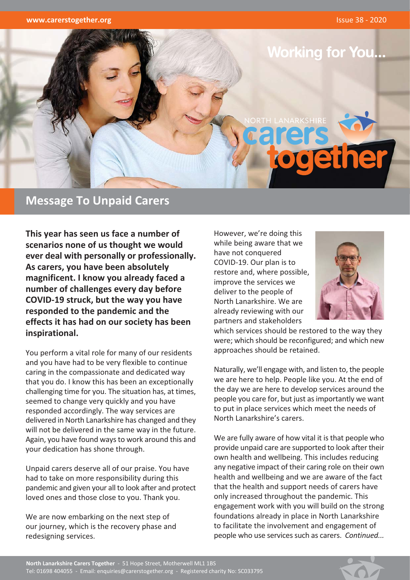

## **Message To Unpaid Carers**

This year has seen us face a number of scenarios none of us thought we would ever deal with personally or professionally. As carers, you have been absolutely magnificent. I know you already faced a number of challenges every day before COVID-19 struck, but the way you have responded to the pandemic and the effects it has had on our society has been inspirational.

You perform a vital role for many of our residents and you have had to be very flexible to continue caring in the compassionate and dedicated way that you do. I know this has been an exceptionally challenging time for you. The situation has, at times, seemed to change very quickly and you have responded accordingly. The way services are delivered in North Lanarkshire has changed and they will not be delivered in the same way in the future. Again, you have found ways to work around this and your dedication has shone through.

Unpaid carers deserve all of our praise. You have had to take on more responsibility during this pandemic and given your all to look after and protect loved ones and those close to you. Thank you.

We are now embarking on the next step of our journey, which is the recovery phase and redesigning services.

However, we're doing this while being aware that we have not conquered COVID-19. Our plan is to restore and, where possible, improve the services we deliver to the people of North Lanarkshire. We are already reviewing with our partners and stakeholders



which services should be restored to the way they were: which should be reconfigured: and which new approaches should be retained.

Naturally, we'll engage with, and listen to, the people we are here to help. People like you. At the end of the day we are here to develop services around the people you care for, but just as importantly we want to put in place services which meet the needs of North Lanarkshire's carers

We are fully aware of how vital it is that people who provide unpaid care are supported to look after their own health and wellbeing. This includes reducing any negative impact of their caring role on their own health and wellbeing and we are aware of the fact that the health and support needs of carers have only increased throughout the pandemic. This engagement work with you will build on the strong foundations already in place in North Lanarkshire to facilitate the involvement and engagement of people who use services such as carers. Continued...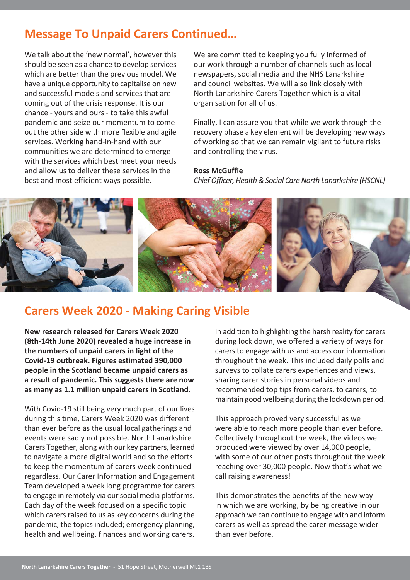# **Message To Unpaid Carers Continued...**

We talk about the 'new normal', however this should be seen as a chance to develop services which are better than the previous model. We have a unique opportunity to capitalise on new and successful models and services that are coming out of the crisis response. It is our chance - yours and ours - to take this awful pandemic and seize our momentum to come out the other side with more flexible and agile services. Working hand-in-hand with our communities we are determined to emerge with the services which best meet your needs and allow us to deliver these services in the best and most efficient ways possible.

We are committed to keeping you fully informed of our work through a number of channels such as local newspapers, social media and the NHS Lanarkshire and council websites. We will also link closely with North Lanarkshire Carers Together which is a vital organisation for all of us.

Finally, I can assure you that while we work through the recovery phase a key element will be developing new ways of working so that we can remain vigilant to future risks and controlling the virus.

### **Ross McGuffie**

Chief Officer, Health & Social Care North Lanarkshire (HSCNL)



# **Carers Week 2020 - Making Caring Visible**

New research released for Carers Week 2020 (8th-14th June 2020) revealed a huge increase in the numbers of unpaid carers in light of the Covid-19 outbreak. Figures estimated 390.000 people in the Scotland became unpaid carers as a result of pandemic. This suggests there are now as many as 1.1 million unpaid carers in Scotland.

With Covid-19 still being very much part of our lives during this time. Carers Week 2020 was different than ever before as the usual local gatherings and events were sadly not possible. North Lanarkshire Carers Together, along with our key partners, learned to navigate a more digital world and so the efforts to keep the momentum of carers week continued regardless. Our Carer Information and Engagement Team developed a week long programme for carers to engage in remotely via our social media platforms. Each day of the week focused on a specific topic which carers raised to us as key concerns during the pandemic, the topics included; emergency planning, health and wellbeing, finances and working carers.

In addition to highlighting the harsh reality for carers during lock down, we offered a variety of ways for carers to engage with us and access our information throughout the week. This included daily polls and surveys to collate carers experiences and views, sharing carer stories in personal videos and recommended top tips from carers, to carers, to maintain good wellbeing during the lockdown period.

This approach proved very successful as we were able to reach more people than ever before. Collectively throughout the week, the videos we produced were viewed by over 14,000 people, with some of our other posts throughout the week reaching over 30,000 people. Now that's what we call raising awareness!

This demonstrates the benefits of the new way in which we are working, by being creative in our approach we can continue to engage with and inform carers as well as spread the carer message wider than ever hefore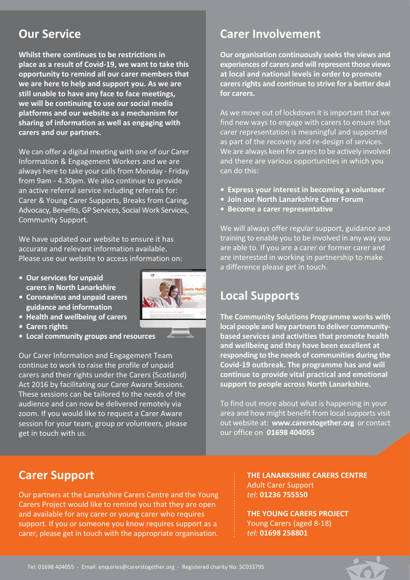# **Our Service**

Whilst there continues to be restrictions in place as a result of Covid-19, we want to take this opportunity to remind all our carer members that we are here to help and support you. As we are still unable to have any face to face meetings, we will be continuing to use our social media platforms and our website as a mechanism for sharing of information as well as engaging with carers and our partners.

We can offer a digital meeting with one of our Carer Information & Engagement Workers and we are always here to take your calls from Monday - Friday from 9am - 4.30pm. We also continue to provide an active referral service including referrals for: Carer & Young Carer Supports, Breaks from Caring, Advocacy, Benefits, GP Services, Social Work Services, **Community Support.** 

We have updated our website to ensure it has accurate and relevant information available. Please use our website to access information on:

- Our services for unpaid carers in North Lanarkshire
- Coronavirus and unpaid carers guidance and information
- Health and wellbeing of carers
- Carers rights
- Local community groups and resources

Our Carer Information and Engagement Team continue to work to raise the profile of unpaid carers and their rights under the Carers (Scotland) Act 2016 by facilitating our Carer Aware Sessions. These sessions can be tailored to the needs of the audience and can now be delivered remotely via zoom. If you would like to request a Carer Aware session for your team, group or volunteers, please get in touch with us.



Our organisation continuously seeks the views and experiences of carers and will represent those views at local and national levels in order to promote carers rights and continue to strive for a better deal for carers.

As we move out of lockdown it is important that we find new ways to engage with carers to ensure that carer representation is meaningful and supported as part of the recovery and re-design of services. We are always keen for carers to be actively involved and there are various opportunities in which you can do this:

- Express your interest in becoming a volunteer
- · Join our North Lanarkshire Carer Forum
- Become a carer representative

We will always offer regular support, guidance and training to enable you to be involved in any way you are able to. If you are a carer or former carer and are interested in working in partnership to make a difference please get in touch.

# **Local Supports**

The Community Solutions Programme works with local people and key partners to deliver communitybased services and activities that promote health and wellbeing and they have been excellent at responding to the needs of communities during the Covid-19 outbreak. The programme has and will continue to provide vital practical and emotional support to people across North Lanarkshire.

To find out more about what is happening in your area and how might benefit from local supports visit out website at: www.carerstogether.org or contact our office on 01698 404055

### **Carer Support**

Our partners at the Lanarkshire Carers Centre and the Young Carers Project would like to remind you that they are open and available for any carer or young carer who requires support. If you or someone you know requires support as a carer, please get in touch with the appropriate organisation. THE LANARKSHIRE CARERS CENTRE **Adult Carer Support** tel: 01236 755550

THE YOUNG CARERS PROJECT Young Carers (aged 8-18) tel: 01698 258801